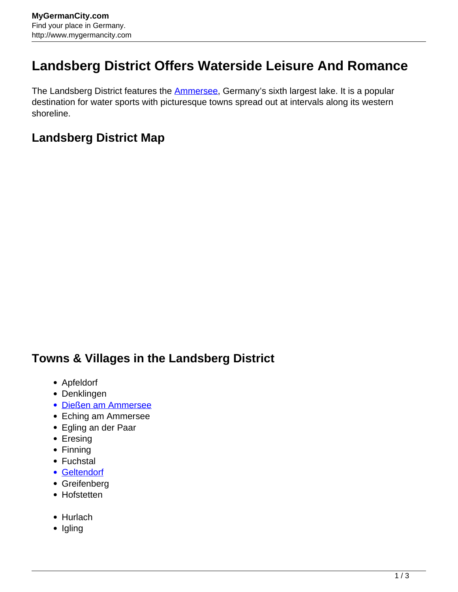## **Landsberg District Offers Waterside Leisure And Romance**

The Landsberg District features the **Ammersee**, Germany's sixth largest lake. It is a popular destination for water sports with picturesque towns spread out at intervals along its western shoreline.

## **Landsberg District Map**

## **Towns & Villages in the Landsberg District**

- Apfeldorf
- Denklingen
- [Dießen am Ammersee](http://www.mygermancity.com/diessen)
- Eching am Ammersee
- Egling an der Paar
- Eresing
- Finning
- Fuchstal
- [Geltendorf](http://www.mygermancity.com/geltendorf)
- Greifenberg
- Hofstetten
- Hurlach
- Igling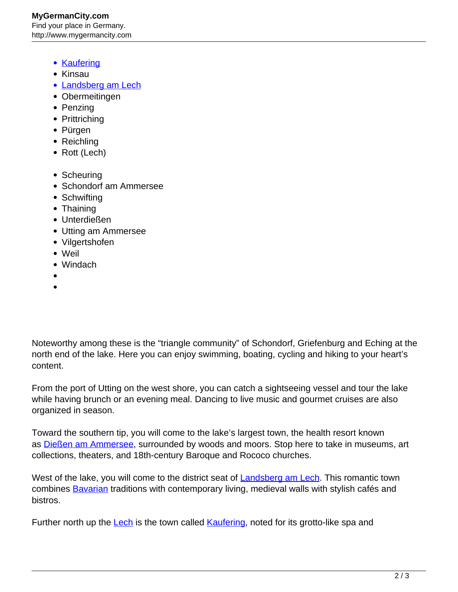## **MyGermanCity.com** Find your place in Germany. http://www.mygermancity.com

- [Kaufering](http://www.mygermancity.com/kaufering)
- Kinsau
- [Landsberg am Lech](http://www.mygermancity.com/landsberg-am-lech)
- Obermeitingen
- Penzing
- Prittriching
- Pürgen
- Reichling
- Rott (Lech)
- Scheuring
- Schondorf am Ammersee
- Schwifting
- Thaining
- Unterdießen
- Utting am Ammersee
- Vilgertshofen
- Weil
- Windach
- 

Noteworthy among these is the "triangle community" of Schondorf, Griefenburg and Eching at the north end of the lake. Here you can enjoy swimming, boating, cycling and hiking to your heart's content.

From the port of Utting on the west shore, you can catch a sightseeing vessel and tour the lake while having brunch or an evening meal. Dancing to live music and gourmet cruises are also organized in season.

Toward the southern tip, you will come to the lake's largest town, the health resort known as [Dießen am Ammersee,](http://www.mygermancity.com/diessen) surrounded by woods and moors. Stop here to take in museums, art collections, theaters, and 18th-century Baroque and Rococo churches.

West of the lake, you will come to the district seat of **Landsberg am Lech**. This romantic town combines **Bavarian** traditions with contemporary living, medieval walls with stylish cafés and bistros.

Further north up the [Lech](http://www.mygermancity.com/lech-river) is the town called [Kaufering,](http://www.mygermancity.com/kaufering) noted for its grotto-like spa and